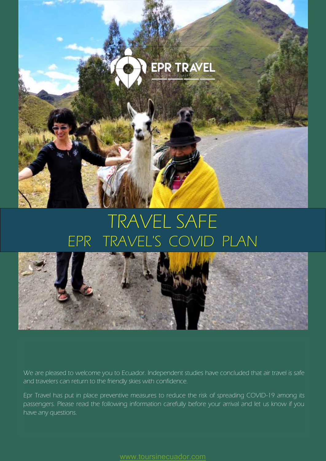

# TRAVEL SAFE EPR TRAVEL'S COVID PLAN



We are pleased to welcome you to Ecuador. Independent studies have concluded that air travel is safe and travelers can return to the friendly skies with confidence.

Epr Travel has put in place preventive measures to reduce the risk of spreading COVID-19 among its passengers. Please read the following information carefully before your arrival and let us know if you have any questions.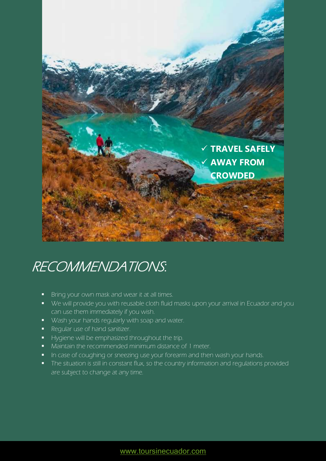

# RECOMMENDATIONS:

- Bring your own mask and wear it at all times.
- We will provide you with reusable cloth fluid masks upon your arrival in Ecuador and you can use them immediately if you wish.
- **Wash your hands regularly with soap and water.**
- Regular use of hand sanitizer.
- Hygiene will be emphasized throughout the trip.
- **Maintain the recommended minimum distance of 1 meter.**
- In case of coughing or sneezing use your forearm and then wash your hands.
- The situation is still in constant flux, so the country information and regulations provided are subject to change at any time.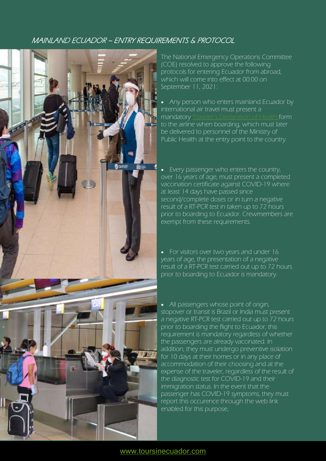### MAINLAND ECUADOR – ENTRY REQUIREMENTS & PROTOCOL



The National Emergency Operations Committee (COE) resolved to approve the following protocols for entering Ecuador from abroad, which will come into effect at 00:00 on September 11, 2021:

• Any person who enters mainland Ecuador by international air travel must present a mandatory [Traveler's Declaration of Health](https://www.salud.gob.ec/wp-content/uploads/2021/08/formulario_de_salud_del_viajero_.pdf) form to the airline when boarding, which must later be delivered to personnel of the Ministry of Public Health at the entry point to the country.

 Every passenger who enters the country, over 16 years of age, must present a completed vaccination certificate against COVID-19 where at least 14 days have passed since second/complete doses or in turn a negative result of a RT-PCR test in taken up to 72 hours prior to boarding to Ecuador. Crewmembers are exempt from these requirements.

• For visitors over two years and under 16 years of age, the presentation of a negative result of a RT-PCR test carried out up to 72 hours prior to boarding to Ecuador is mandatory.

• All passengers whose point of origin, stopover or transit is Brazil or India must present a negative RT-PCR test carried out up to 72 hours prior to boarding the flight to Ecuador, this requirement is mandatory regardless of whether the passengers are already vaccinated. In addition, they must undergo preventive isolation for 10 days at their homes or in any place of accommodation of their choosing and at the expense of the traveler, regardless of the result of the diagnostic test for COVID-19 and their immigration status. In the event that the passenger has COVID-19 symptoms, they must report this occurence through the web link enabled for this purpose.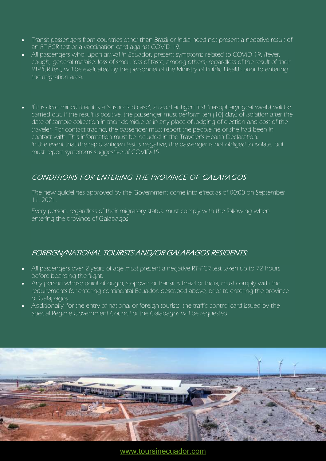- Transit passengers from countries other than Brazil or India need not present a negative result of an RT-PCR test or a vaccination card against COVID-19.
- All passengers who, upon arrival in Ecuador, present symptoms related to COVID-19, (fever, cough, general malaise, loss of smell, loss of taste, among others) regardless of the result of their RT-PCR test, will be evaluated by the personnel of the Ministry of Public Health prior to entering the migration area.
- If it is determined that it is a "suspected case", a rapid antigen test (nasopharyngeal swab) will be carried out. If the result is positive, the passenger must perform ten (10) days of isolation after the date of sample collection in their domicile or in any place of lodging of election and cost of the traveler. For contact tracing, the passenger must report the people he or she had been in contact with. This information must be included in the Traveler's Health Declaration. In the event that the rapid antigen test is negative, the passenger is not obliged to isolate, but must report symptoms suggestive of COVID-19.

# CONDITIONS FOR ENTERING THE PROVINCE OF GALAPAGOS

The new guidelines approved by the Government come into effect as of 00:00 on September 11, 2021.

Every person, regardless of their migratory status, must comply with the following when entering the province of Galapagos:

## FOREIGN/NATIONAL TOURISTS AND/OR GALAPAGOS RESIDENTS:

- All passengers over 2 years of age must present a negative RT-PCR test taken up to 72 hours before boarding the flight.
- Any person whose point of origin, stopover or transit is Brazil or India, must comply with the requirements for entering continental Ecuador, described above, prior to entering the province of Galapagos.
- Additionally, for the entry of national or foreign tourists, the traffic control card issued by the Special Regime Government Council of the Galapagos will be requested.

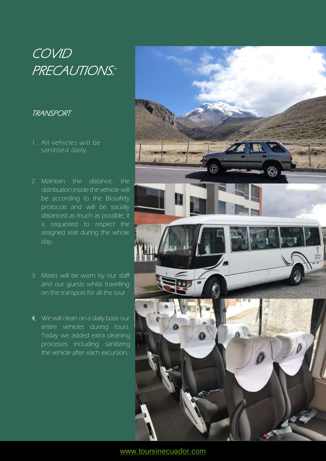# **COVID** PRECAUTIONS:

### TRANSPORT

- 1. All vehicles will be sanitised daily.
- 2. Maintain the distance, the distribution inside the vehicle will be according to the Biosafety protocols and will be socially distanced as much as possible, it is requested to respect the assigned seat during the whole day.
- 3. Masks will be worn by our staff and our guests whilst travelling on the transport for all the tour
- 4. We will clean on a daily basis our entire vehicles during tours. Today we added extra cleaning processes including sanitizing the vehicle after each excursion.

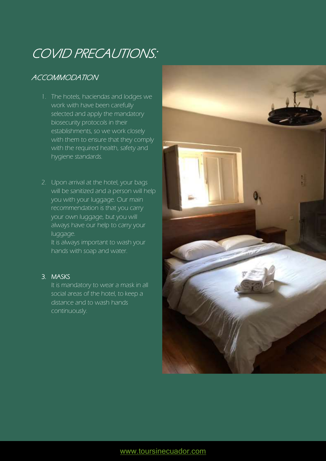# COVID PRECAUTIONS:

# ACCOMMODATION

- 1. The hotels, haciendas and lodges we work with have been carefully selected and apply the mandatory biosecurity protocols in their establishments, so we work closely with them to ensure that they comply with the required health, safety and hygiene standards.
- 2. Upon arrival at the hotel, your bags will be sanitized and a person will help you with your luggage. Our main recommendation is that you carry your own luggage, but you will always have our help to carry your luggage.

It is always important to wash your hands with soap and water.

#### 3. MASKS

It is mandatory to wear a mask in all social areas of the hotel, to keep a distance and to wash hands continuously.

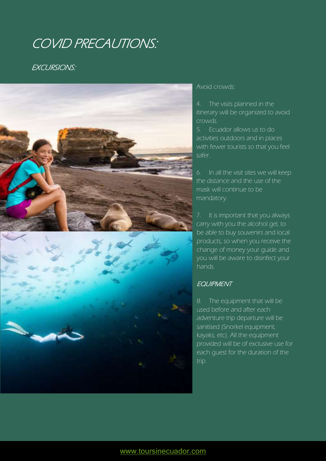# COVID PRECAUTIONS:

### EXCURSIONS:



#### Avoid crowds:

4. The visits planned in the itinerary will be organized to avoid crowds.

5. Ecuador allows us to do activities outdoors and in places with fewer tourists so that you feel safer.

6. In all the visit sites we will keep the distance and the use of the mask will continue to be mandatory.

7. It is important that you always carry with you the alcohol gel, to be able to buy souvenirs and local products, so when you receive the change of money your guide and you will be aware to disinfect your hands.

#### **EQUIPMENT**

8. The equipment that will be used before and after each adventure trip departure will be sanitised (Snorkel equipment, kayaks, etc). All the equipment provided will be of exclusive use for each guest for the duration of the trip